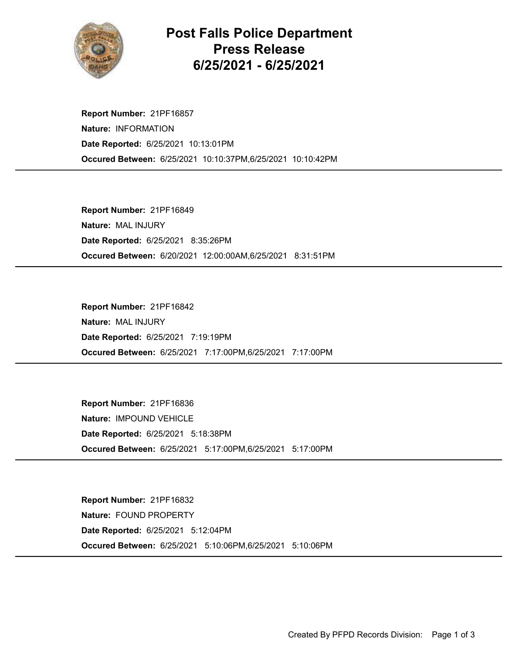

## Post Falls Police Department Press Release 6/25/2021 - 6/25/2021

Occured Between: 6/25/2021 10:10:37PM,6/25/2021 10:10:42PM Report Number: 21PF16857 Nature: INFORMATION Date Reported: 6/25/2021 10:13:01PM

Occured Between: 6/20/2021 12:00:00AM,6/25/2021 8:31:51PM Report Number: 21PF16849 Nature: MAL INJURY Date Reported: 6/25/2021 8:35:26PM

Occured Between: 6/25/2021 7:17:00PM,6/25/2021 7:17:00PM Report Number: 21PF16842 Nature: MAL INJURY Date Reported: 6/25/2021 7:19:19PM

Occured Between: 6/25/2021 5:17:00PM,6/25/2021 5:17:00PM Report Number: 21PF16836 Nature: IMPOUND VEHICLE Date Reported: 6/25/2021 5:18:38PM

Occured Between: 6/25/2021 5:10:06PM,6/25/2021 5:10:06PM Report Number: 21PF16832 Nature: FOUND PROPERTY Date Reported: 6/25/2021 5:12:04PM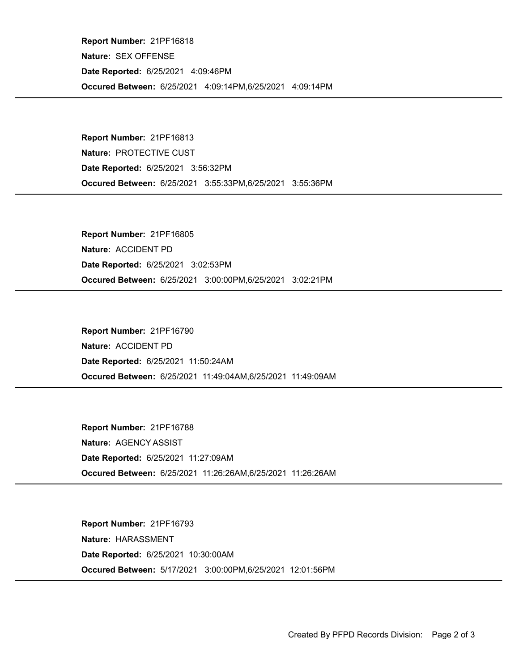Occured Between: 6/25/2021 4:09:14PM,6/25/2021 4:09:14PM Report Number: 21PF16818 Nature: SEX OFFENSE Date Reported: 6/25/2021 4:09:46PM

Occured Between: 6/25/2021 3:55:33PM,6/25/2021 3:55:36PM Report Number: 21PF16813 Nature: PROTECTIVE CUST Date Reported: 6/25/2021 3:56:32PM

Occured Between: 6/25/2021 3:00:00PM,6/25/2021 3:02:21PM Report Number: 21PF16805 Nature: ACCIDENT PD Date Reported: 6/25/2021 3:02:53PM

Occured Between: 6/25/2021 11:49:04AM,6/25/2021 11:49:09AM Report Number: 21PF16790 Nature: ACCIDENT PD Date Reported: 6/25/2021 11:50:24AM

Occured Between: 6/25/2021 11:26:26AM,6/25/2021 11:26:26AM Report Number: 21PF16788 Nature: AGENCY ASSIST Date Reported: 6/25/2021 11:27:09AM

Occured Between: 5/17/2021 3:00:00PM,6/25/2021 12:01:56PM Report Number: 21PF16793 Nature: HARASSMENT Date Reported: 6/25/2021 10:30:00AM